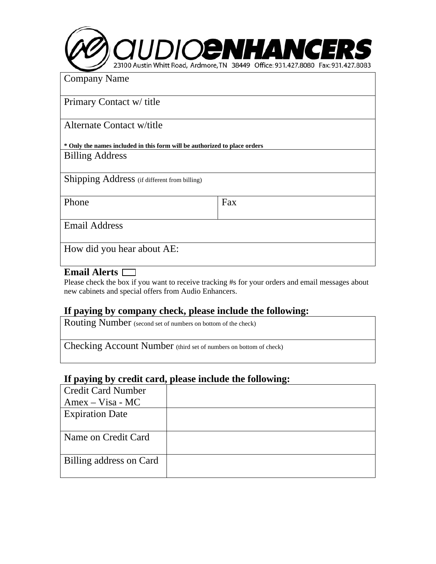

Company Name

Primary Contact w/ title

Alternate Contact w/title

**\* Only the names included in this form will be authorized to place orders**  Billing Address

Shipping Address (if different from billing)

Phone Fax

Email Address

How did you hear about AE:

#### **Email Alerts**

Please check the box if you want to receive tracking #s for your orders and email messages about new cabinets and special offers from Audio Enhancers.

## **If paying by company check, please include the following:**

Routing Number (second set of numbers on bottom of the check)

Checking Account Number (third set of numbers on bottom of check)

## **If paying by credit card, please include the following:**

| <b>Credit Card Number</b> |  |
|---------------------------|--|
| $A$ mex – Visa - MC       |  |
| <b>Expiration Date</b>    |  |
|                           |  |
| Name on Credit Card       |  |
|                           |  |
| Billing address on Card   |  |
|                           |  |